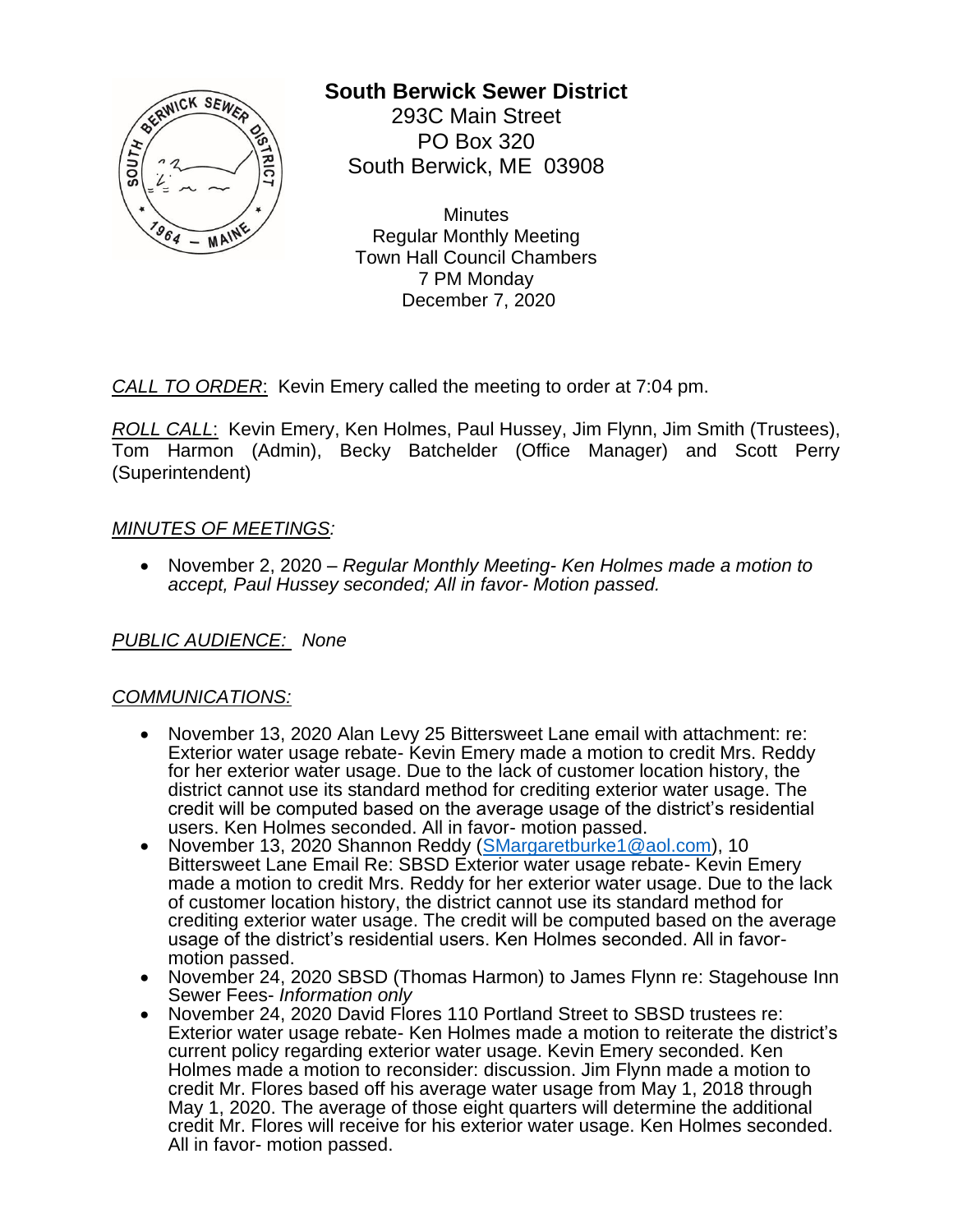

# **South Berwick Sewer District**

293C Main Street PO Box 320 South Berwick, ME 03908

**Minutes** Regular Monthly Meeting Town Hall Council Chambers 7 PM Monday December 7, 2020

*CALL TO ORDER*: Kevin Emery called the meeting to order at 7:04 pm.

*ROLL CALL*: Kevin Emery, Ken Holmes, Paul Hussey, Jim Flynn, Jim Smith (Trustees), Tom Harmon (Admin), Becky Batchelder (Office Manager) and Scott Perry (Superintendent)

## *MINUTES OF MEETINGS:*

• November 2, 2020 – *Regular Monthly Meeting- Ken Holmes made a motion to accept, Paul Hussey seconded; All in favor- Motion passed.*

*PUBLIC AUDIENCE: None*

## *COMMUNICATIONS:*

- November 13, 2020 Alan Levy 25 Bittersweet Lane email with attachment: re: Exterior water usage rebate- Kevin Emery made a motion to credit Mrs. Reddy for her exterior water usage. Due to the lack of customer location history, the district cannot use its standard method for crediting exterior water usage. The credit will be computed based on the average usage of the district's residential users. Ken Holmes seconded. All in favor- motion passed.
- November 13, 2020 Shannon Reddy [\(SMargaretburke1@aol.com\)](mailto:SMargaretburke1@aol.com), 10 Bittersweet Lane Email Re: SBSD Exterior water usage rebate- Kevin Emery made a motion to credit Mrs. Reddy for her exterior water usage. Due to the lack of customer location history, the district cannot use its standard method for crediting exterior water usage. The credit will be computed based on the average usage of the district's residential users. Ken Holmes seconded. All in favormotion passed.
- November 24, 2020 SBSD (Thomas Harmon) to James Flynn re: Stagehouse Inn Sewer Fees- *Information only*
- November 24, 2020 David Flores 110 Portland Street to SBSD trustees re: Exterior water usage rebate- Ken Holmes made a motion to reiterate the district's current policy regarding exterior water usage. Kevin Emery seconded. Ken Holmes made a motion to reconsider: discussion. Jim Flynn made a motion to credit Mr. Flores based off his average water usage from May 1, 2018 through May 1, 2020. The average of those eight quarters will determine the additional credit Mr. Flores will receive for his exterior water usage. Ken Holmes seconded. All in favor- motion passed.